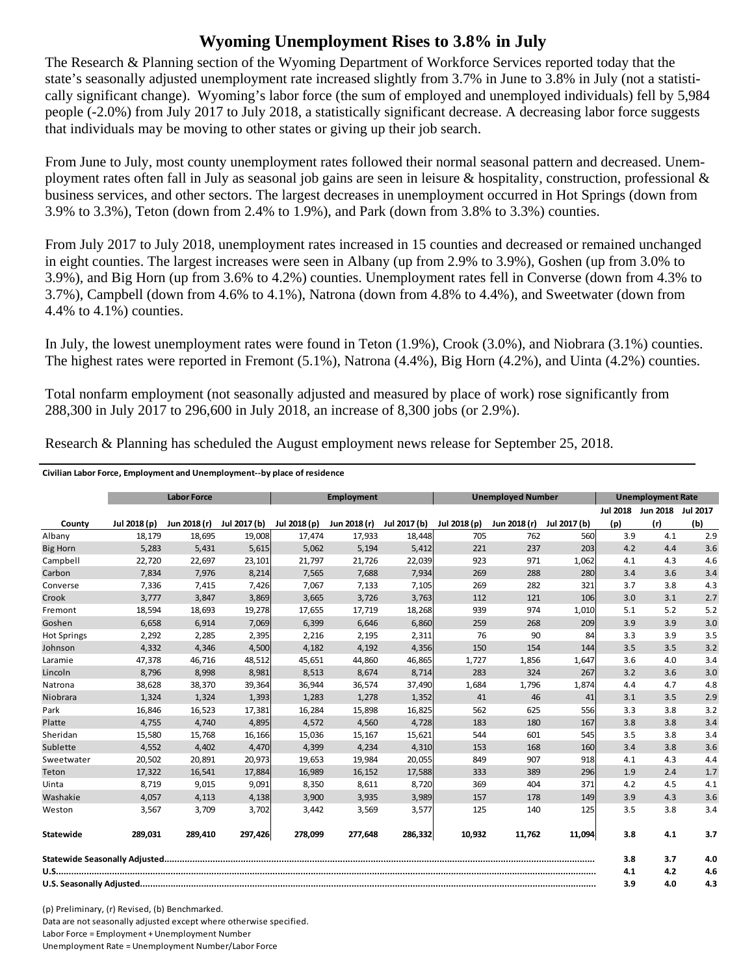## **Wyoming Unemployment Rises to 3.8% in July**

The Research & Planning section of the Wyoming Department of Workforce Services reported today that the state's seasonally adjusted unemployment rate increased slightly from 3.7% in June to 3.8% in July (not a statistically significant change). Wyoming's labor force (the sum of employed and unemployed individuals) fell by 5,984 people (-2.0%) from July 2017 to July 2018, a statistically significant decrease. A decreasing labor force suggests that individuals may be moving to other states or giving up their job search.

From June to July, most county unemployment rates followed their normal seasonal pattern and decreased. Unemployment rates often fall in July as seasonal job gains are seen in leisure & hospitality, construction, professional  $\&$ business services, and other sectors. The largest decreases in unemployment occurred in Hot Springs (down from 3.9% to 3.3%), Teton (down from 2.4% to 1.9%), and Park (down from 3.8% to 3.3%) counties.

From July 2017 to July 2018, unemployment rates increased in 15 counties and decreased or remained unchanged in eight counties. The largest increases were seen in Albany (up from 2.9% to 3.9%), Goshen (up from 3.0% to 3.9%), and Big Horn (up from 3.6% to 4.2%) counties. Unemployment rates fell in Converse (down from 4.3% to 3.7%), Campbell (down from 4.6% to 4.1%), Natrona (down from 4.8% to 4.4%), and Sweetwater (down from 4.4% to 4.1%) counties.

In July, the lowest unemployment rates were found in Teton (1.9%), Crook (3.0%), and Niobrara (3.1%) counties. The highest rates were reported in Fremont (5.1%), Natrona (4.4%), Big Horn (4.2%), and Uinta (4.2%) counties.

Total nonfarm employment (not seasonally adjusted and measured by place of work) rose significantly from 288,300 in July 2017 to 296,600 in July 2018, an increase of 8,300 jobs (or 2.9%).

|                    |              | <b>Labor Force</b><br><b>Employment</b><br><b>Unemployed Number</b> |              | <b>Unemployment Rate</b> |              |              |              |              |              |                 |                   |     |
|--------------------|--------------|---------------------------------------------------------------------|--------------|--------------------------|--------------|--------------|--------------|--------------|--------------|-----------------|-------------------|-----|
|                    |              |                                                                     |              |                          |              |              |              |              |              | <b>Jul 2018</b> | Jun 2018 Jul 2017 |     |
| County             | Jul 2018 (p) | Jun 2018 (r)                                                        | Jul 2017 (b) | Jul 2018 (p)             | Jun 2018 (r) | Jul 2017 (b) | Jul 2018 (p) | Jun 2018 (r) | Jul 2017 (b) | (p)             | (r)               | (b) |
| Albany             | 18,179       | 18,695                                                              | 19,008       | 17,474                   | 17,933       | 18,448       | 705          | 762          | 560          | 3.9             | 4.1               | 2.9 |
| <b>Big Horn</b>    | 5,283        | 5,431                                                               | 5,615        | 5,062                    | 5,194        | 5,412        | 221          | 237          | 203          | 4.2             | 4.4               | 3.6 |
| Campbell           | 22,720       | 22,697                                                              | 23,101       | 21,797                   | 21,726       | 22,039       | 923          | 971          | 1,062        | 4.1             | 4.3               | 4.6 |
| Carbon             | 7,834        | 7,976                                                               | 8,214        | 7,565                    | 7,688        | 7,934        | 269          | 288          | 280          | 3.4             | 3.6               | 3.4 |
| Converse           | 7,336        | 7,415                                                               | 7,426        | 7,067                    | 7,133        | 7,105        | 269          | 282          | 321          | 3.7             | 3.8               | 4.3 |
| Crook              | 3,777        | 3,847                                                               | 3,869        | 3,665                    | 3,726        | 3,763        | 112          | 121          | 106          | 3.0             | 3.1               | 2.7 |
| Fremont            | 18,594       | 18,693                                                              | 19,278       | 17,655                   | 17,719       | 18,268       | 939          | 974          | 1,010        | 5.1             | 5.2               | 5.2 |
| Goshen             | 6.658        | 6.914                                                               | 7,069        | 6.399                    | 6.646        | 6,860        | 259          | 268          | 209          | 3.9             | 3.9               | 3.0 |
| <b>Hot Springs</b> | 2,292        | 2,285                                                               | 2,395        | 2,216                    | 2,195        | 2,311        | 76           | 90           | 84           | 3.3             | 3.9               | 3.5 |
| Johnson            | 4,332        | 4,346                                                               | 4,500        | 4,182                    | 4,192        | 4,356        | 150          | 154          | 144          | 3.5             | 3.5               | 3.2 |
| Laramie            | 47,378       | 46,716                                                              | 48,512       | 45,651                   | 44,860       | 46,865       | 1,727        | 1,856        | 1,647        | 3.6             | 4.0               | 3.4 |
| Lincoln            | 8,796        | 8,998                                                               | 8,981        | 8,513                    | 8,674        | 8,714        | 283          | 324          | 267          | 3.2             | 3.6               | 3.0 |
| Natrona            | 38,628       | 38,370                                                              | 39,364       | 36,944                   | 36,574       | 37,490       | 1,684        | 1,796        | 1,874        | 4.4             | 4.7               | 4.8 |
| Niobrara           | 1,324        | 1,324                                                               | 1,393        | 1,283                    | 1,278        | 1,352        | 41           | 46           | 41           | 3.1             | 3.5               | 2.9 |
| Park               | 16,846       | 16,523                                                              | 17,381       | 16,284                   | 15,898       | 16,825       | 562          | 625          | 556          | 3.3             | 3.8               | 3.2 |
| Platte             | 4,755        | 4,740                                                               | 4,895        | 4,572                    | 4,560        | 4,728        | 183          | 180          | 167          | 3.8             | 3.8               | 3.4 |
| Sheridan           | 15,580       | 15,768                                                              | 16,166       | 15,036                   | 15,167       | 15,621       | 544          | 601          | 545          | 3.5             | 3.8               | 3.4 |
| Sublette           | 4,552        | 4,402                                                               | 4,470        | 4,399                    | 4,234        | 4,310        | 153          | 168          | 160          | 3.4             | 3.8               | 3.6 |
| Sweetwater         | 20,502       | 20,891                                                              | 20,973       | 19,653                   | 19,984       | 20,055       | 849          | 907          | 918          | 4.1             | 4.3               | 4.4 |
| Teton              | 17,322       | 16,541                                                              | 17,884       | 16,989                   | 16,152       | 17,588       | 333          | 389          | 296          | 1.9             | 2.4               | 1.7 |
| Uinta              | 8,719        | 9,015                                                               | 9,091        | 8,350                    | 8,611        | 8,720        | 369          | 404          | 371          | 4.2             | 4.5               | 4.1 |
| Washakie           | 4,057        | 4,113                                                               | 4,138        | 3,900                    | 3,935        | 3,989        | 157          | 178          | 149          | 3.9             | 4.3               | 3.6 |
| Weston             | 3,567        | 3,709                                                               | 3,702        | 3,442                    | 3,569        | 3,577        | 125          | 140          | 125          | 3.5             | 3.8               | 3.4 |
| Statewide          | 289,031      | 289,410                                                             | 297,426      | 278,099                  | 277,648      | 286,332      | 10,932       | 11,762       | 11,094       | 3.8             | 4.1               | 3.7 |
|                    |              |                                                                     |              |                          |              |              | 3.8          | 3.7          | 4.0          |                 |                   |     |
|                    |              |                                                                     |              |                          |              |              | 4.1          | 4.2          | 4.6          |                 |                   |     |
|                    |              |                                                                     |              |                          |              |              | 3.9          | 4.0          | 4.3          |                 |                   |     |

Research & Planning has scheduled the August employment news release for September 25, 2018.

(p) Preliminary, (r) Revised, (b) Benchmarked. Data are not seasonally adjusted except where otherwise specified. Labor Force = Employment + Unemployment Number Unemployment Rate = Unemployment Number/Labor Force

**Civilian Labor Force, Employment and Unemployment‐‐by place of residence**